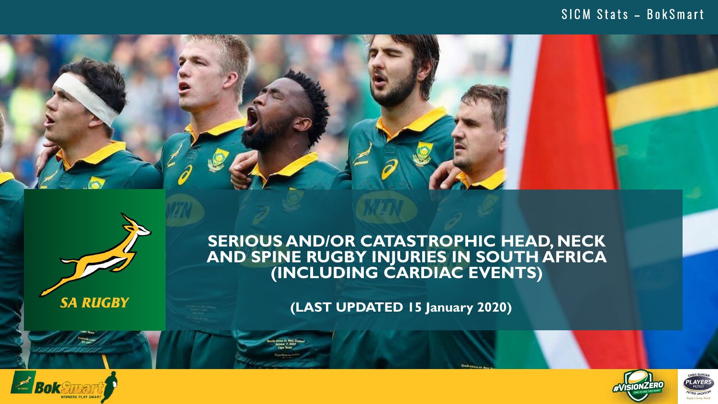## SICM Stats - BokSmart





**SA RUGBY** 

## **SERIOUS AND/OR CATASTROPHIC HEAD, NECK AND SPINE RUGBY INJURIES IN SOUTH AFRICA (INCLUDING CARDIAC EVENTS)**

**(LAST UPDATED 15 January 2020)**





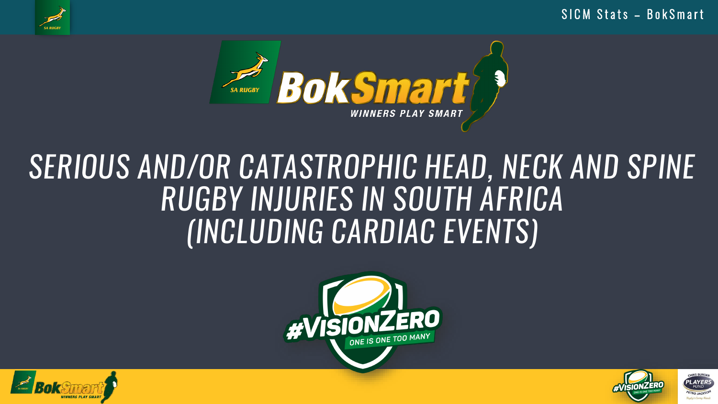SICM Stats - BokSmart



# SERIOUS AND/OR CATASTROPHIC HEAD, NECK AND SPINE RUGBY INJURIES IN SOUTH AFRICA (INCLUDING CARDIAC EVENTS)





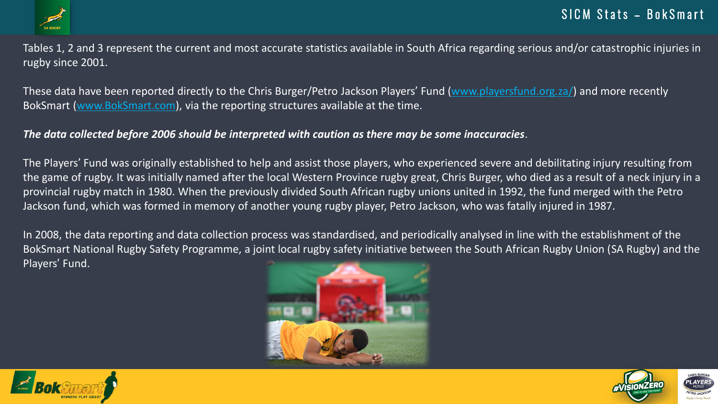

Tables 1, 2 and 3 represent the current and most accurate statistics available in South Africa regarding serious and/or catastrophic injuries in rugby since 2001.

These data have been reported directly to the Chris Burger/Petro Jackson Players' Fund [\(www.playersfund.org.za/](http://www.playersfund.org.za/)) and more recently BokSmart [\(www.BokSmart.com\)](http://www.boksmart.com/), via the reporting structures available at the time.

#### *The data collected before 2006 should be interpreted with caution as there may be some inaccuracies*.

The Players' Fund was originally established to help and assist those players, who experienced severe and debilitating injury resulting from the game of rugby. It was initially named after the local Western Province rugby great, Chris Burger, who died as a result of a neck injury in a provincial rugby match in 1980. When the previously divided South African rugby unions united in 1992, the fund merged with the Petro Jackson fund, which was formed in memory of another young rugby player, Petro Jackson, who was fatally injured in 1987.

In 2008, the data reporting and data collection process was standardised, and periodically analysed in line with the establishment of the BokSmart National Rugby Safety Programme, a joint local rugby safety initiative between the South African Rugby Union (SA Rugby) and the Players' Fund.





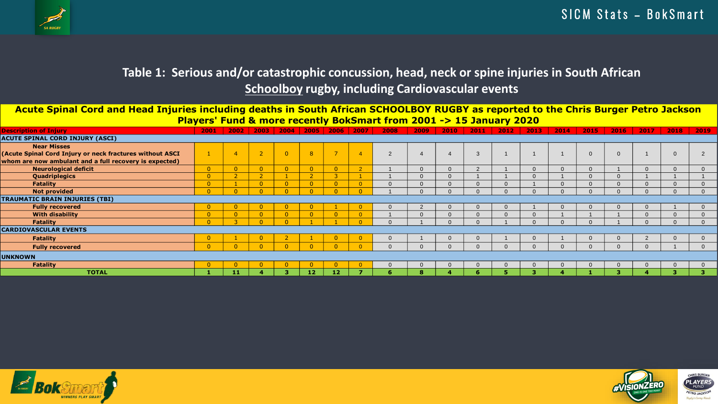

## **Table 1: Serious and/or catastrophic concussion, head, neck or spine injuries in South African Schoolboy rugby, including Cardiovascular events**

**Acute Spinal Cord and Head Injuries including deaths in South African SCHOOLBOY RUGBY as reported to the Chris Burger Petro Jackson Players' Fund & more recently BokSmart from 2001 -> 15 January 2020**

| <b>Description of Injury</b>                             | 2001 | 2002 | 2003           |                |                | 2004 2005 2006 2007      |                | 2008           | 2009     | 2010 | 2011     | 2012 | 2013     | 2014     | 2015           | 2016     | 2017 | 2018           | 2019           |
|----------------------------------------------------------|------|------|----------------|----------------|----------------|--------------------------|----------------|----------------|----------|------|----------|------|----------|----------|----------------|----------|------|----------------|----------------|
| <b>ACUTE SPINAL CORD INJURY (ASCI)</b>                   |      |      |                |                |                |                          |                |                |          |      |          |      |          |          |                |          |      |                |                |
| <b>Near Misses</b>                                       |      |      |                |                |                |                          |                |                |          |      |          |      |          |          |                |          |      |                |                |
| (Acute Spinal Cord Injury or neck fractures without ASCI |      |      | $\overline{2}$ | $\overline{0}$ | 8              | $\overline{\phantom{0}}$ | $\overline{4}$ | $\overline{2}$ |          |      | 3        |      |          |          | $\overline{0}$ | $\Omega$ |      | $\overline{0}$ | $\overline{2}$ |
| whom are now ambulant and a full recovery is expected)   |      |      |                |                |                |                          |                |                |          |      |          |      |          |          |                |          |      |                |                |
| <b>Neurological deficit</b>                              |      |      | $\overline{0}$ | $\overline{0}$ | $\overline{0}$ | $\Omega$                 | ാ              |                | $\Omega$ |      |          |      |          |          |                |          |      | $\Omega$       |                |
| Quadriplegics                                            |      |      |                |                |                |                          |                |                | $\Omega$ |      |          |      |          |          |                | $\alpha$ |      |                |                |
| <b>Fatality</b>                                          |      |      | $\overline{0}$ | $\overline{0}$ | $\overline{0}$ | $\Omega$                 |                |                | $\Omega$ |      | $\Omega$ |      |          | $\Omega$ |                | $\Omega$ |      | $\Omega$       |                |
| <b>Not provided</b>                                      |      |      |                |                |                |                          |                |                |          |      |          |      |          |          |                |          |      |                |                |
| <b>TRAUMATIC BRAIN INJURIES (TBI)</b>                    |      |      |                |                |                |                          |                |                |          |      |          |      |          |          |                |          |      |                |                |
| <b>Fully recovered</b>                                   |      |      | $\overline{0}$ | 0.             |                |                          |                | $\overline{0}$ | 2        |      | $\Omega$ |      |          | $\Omega$ |                | $\Omega$ |      |                |                |
| <b>With disability</b>                                   |      |      | $\overline{0}$ | $\overline{0}$ | $\overline{0}$ | $\overline{0}$           |                |                | $\Omega$ |      |          |      | $\Omega$ |          |                |          |      | $\Omega$       |                |
| <b>Fatality</b>                                          |      |      | $\Omega$       |                |                |                          |                |                |          |      |          |      |          |          |                |          |      | $\Omega$       |                |
| <b>CARDIOVASCULAR EVENTS</b>                             |      |      |                |                |                |                          |                |                |          |      |          |      |          |          |                |          |      |                |                |
| <b>Fatality</b>                                          |      |      | $\overline{0}$ |                |                | $\overline{0}$           |                | $\overline{0}$ |          |      | $\Omega$ |      | $\Omega$ |          | $\overline{0}$ | $\Omega$ |      | $\overline{0}$ | 0              |
| <b>Fully recovered</b>                                   |      |      | $\Omega$       | $\Omega$       |                | $\Omega$                 |                |                | $\Omega$ |      |          |      |          |          |                | $\Omega$ |      |                |                |
| <b>UNKNOWN</b>                                           |      |      |                |                |                |                          |                |                |          |      |          |      |          |          |                |          |      |                |                |
| <b>Fatality</b>                                          |      |      |                |                |                |                          |                |                | $\Omega$ |      |          |      |          |          |                | $\Omega$ |      | $\Omega$       |                |
| <b>TOTAL</b>                                             |      | 41   |                |                | 12             | 12                       |                |                | 8        |      |          |      |          |          |                |          |      |                |                |



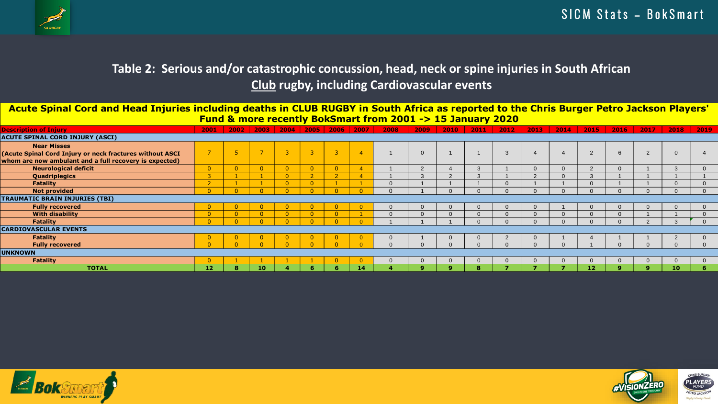

## **Table 2: Serious and/or catastrophic concussion, head, neck or spine injuries in South African Club rugby, including Cardiovascular events**

**Acute Spinal Cord and Head Injuries including deaths in CLUB RUGBY in South Africa as reported to the Chris Burger Petro Jackson Players' Fund & more recently BokSmart from 2001 -> 15 January 2020**

| <b>Description of Injury</b>                             | 2001           |  |                | $2002$   2003   2004   2005 |                | 2006           | 2007                   | 2008           | 2009          | 2010     | 2011   | 2012 | 2013     | 2014 | 2015         | $2016$ 2017 |                | 2018           | $\frac{1}{2019}$ |
|----------------------------------------------------------|----------------|--|----------------|-----------------------------|----------------|----------------|------------------------|----------------|---------------|----------|--------|------|----------|------|--------------|-------------|----------------|----------------|------------------|
| <b>ACUTE SPINAL CORD INJURY (ASCI)</b>                   |                |  |                |                             |                |                |                        |                |               |          |        |      |          |      |              |             |                |                |                  |
| <b>Near Misses</b>                                       |                |  |                |                             |                |                |                        |                |               |          |        |      |          |      |              |             |                |                |                  |
| (Acute Spinal Cord Injury or neck fractures without ASCI |                |  | $\rightarrow$  | ₹                           | $\overline{3}$ | $\overline{3}$ | $\boldsymbol{\Lambda}$ |                | $\Omega$      |          |        | 3    |          |      | $\Omega$     | 6           | $\overline{2}$ | $\overline{0}$ |                  |
| whom are now ambulant and a full recovery is expected)   |                |  |                |                             |                |                |                        |                |               |          |        |      |          |      |              |             |                |                |                  |
| <b>Neurological deficit</b>                              | $\overline{0}$ |  | $\overline{0}$ |                             | $\overline{0}$ | $\overline{0}$ | $\overline{A}$         |                | 2             |          | $\sim$ |      | n        |      | $\Omega$     | $\Omega$    |                | 3              |                  |
| Quadriplegics                                            | $\sim$         |  |                | $\overline{0}$              | $\sqrt{2}$     | $\mathcal{D}$  |                        |                | $\mathcal{R}$ | $\Omega$ | $\sim$ |      | $\Omega$ |      |              |             |                |                |                  |
| <b>Fatality</b>                                          |                |  |                |                             | $\overline{0}$ |                |                        | $\Omega$       |               |          |        |      |          |      | $\Omega$     |             |                | $\Omega$       |                  |
| <b>Not provided</b>                                      |                |  |                |                             |                |                |                        | $\Omega$       |               | $\Omega$ |        |      |          |      | $\Omega$     |             |                |                |                  |
| <b>TRAUMATIC BRAIN INJURIES (TBI)</b>                    |                |  |                |                             |                |                |                        |                |               |          |        |      |          |      |              |             |                |                |                  |
| <b>Fully recovered</b>                                   | $\overline{0}$ |  | $\overline{0}$ |                             | $\mathbf{0}$   | $\overline{0}$ |                        | $\overline{0}$ | $\Omega$      | $\Omega$ |        |      | $\Omega$ |      | $\mathbf{0}$ | $\Omega$    |                | - 0            |                  |
| <b>With disability</b>                                   |                |  | $\overline{0}$ | $\overline{0}$              | $\overline{0}$ | $\overline{0}$ |                        | $\Omega$       | $\Omega$      | $\Omega$ |        |      | $\Omega$ |      | $\Omega$     |             |                |                |                  |
| Fatality                                                 |                |  |                |                             |                |                |                        |                |               |          |        |      |          |      |              |             |                |                |                  |
| <b>CARDIOVASCULAR EVENTS</b>                             |                |  |                |                             |                |                |                        |                |               |          |        |      |          |      |              |             |                |                |                  |
| Fatality                                                 |                |  |                |                             |                |                |                        | $\Omega$       |               | $\Omega$ |        |      | $\Omega$ |      |              |             |                |                |                  |
| <b>Fully recovered</b>                                   |                |  |                |                             |                |                |                        |                |               |          |        |      |          |      |              |             |                |                |                  |
| <b>UNKNOWN</b>                                           |                |  |                |                             |                |                |                        |                |               |          |        |      |          |      |              |             |                |                |                  |
| Fatality                                                 |                |  |                |                             |                |                |                        | $\Omega$       | $\Omega$      | $\Omega$ |        |      | $\Omega$ |      | $\Omega$     | $\Omega$    |                |                |                  |
| <b>TOTAL</b>                                             | 12             |  | 10             |                             | 6              | 6              | 14                     |                | $\mathbf{9}$  | <b>Q</b> | 8      |      |          |      | 12           |             |                | 10             | -6               |



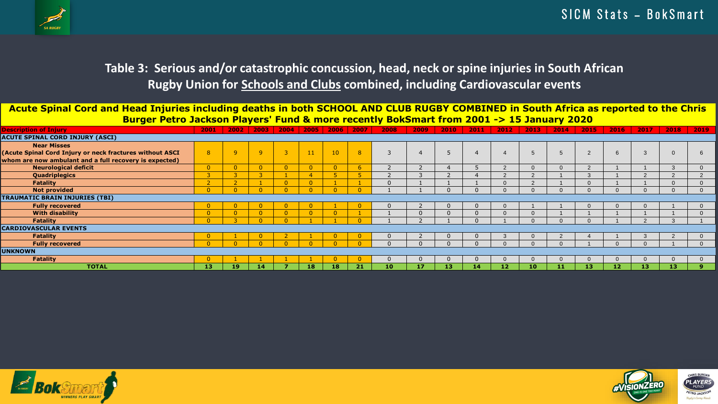

## **Table 3: Serious and/or catastrophic concussion, head, neck or spine injuries in South African Rugby Union for Schools and Clubs combined, including Cardiovascular events**

| <b>Rugby Union for Schools and Clubs combined, including Cardiovascular events</b>                                                   |                |                |                |          |                |                |              |                |                |                |                  |                |                 |                |          |      |          |          |                |
|--------------------------------------------------------------------------------------------------------------------------------------|----------------|----------------|----------------|----------|----------------|----------------|--------------|----------------|----------------|----------------|------------------|----------------|-----------------|----------------|----------|------|----------|----------|----------------|
| Acute Spinal Cord and Head Injuries including deaths in both SCHOOL AND CLUB RUGBY COMBINED in South Africa as reported to the Chris |                |                |                |          |                |                |              |                |                |                |                  |                |                 |                |          |      |          |          |                |
| Burger Petro Jackson Players' Fund & more recently BokSmart from 2001 -> 15 January 2020                                             |                |                |                |          |                |                |              |                |                |                |                  |                |                 |                |          |      |          |          |                |
| <b>Description of Injury</b>                                                                                                         | 2001           | 2002           | 2003           |          | $2004$   2005  | 2006           | 2007         | 2008           | 2009           | 2010           | 2011             | 2012           | 2013            | 2014           | 2015     | 2016 | 2017     | 2018     | 2019           |
| <b>ACUTE SPINAL CORD INJURY (ASCI)</b>                                                                                               |                |                |                |          |                |                |              |                |                |                |                  |                |                 |                |          |      |          |          |                |
| <b>Near Misses</b>                                                                                                                   |                |                |                |          |                |                |              |                |                |                |                  |                |                 |                |          |      |          |          |                |
| (Acute Spinal Cord Injury or neck fractures without ASCI                                                                             | $\mathbf{R}$   | $\mathbf{Q}$   | $\overline{q}$ |          | 11             | 10             | 8            | $\mathcal{R}$  |                |                | $\boldsymbol{4}$ | $\overline{A}$ | $5\overline{5}$ | $\overline{5}$ | 2        | 6    | 3        | $\Omega$ |                |
| whom are now ambulant and a full recovery is expected)                                                                               |                |                |                |          |                |                |              |                |                |                |                  |                |                 |                |          |      |          |          |                |
| <b>Neurological deficit</b>                                                                                                          | $\overline{0}$ | $\overline{0}$ | $\overline{0}$ |          | $\overline{0}$ | $\overline{0}$ | 6            | $\overline{2}$ | $\overline{2}$ |                |                  | $\mathcal{P}$  | $\Omega$        |                | 2        |      |          | 3        | $\Omega$       |
| Quadriplegics                                                                                                                        | ె              | 3              | 3              |          | $\overline{4}$ | 5              | 5.           | 2              | 3              | $\overline{z}$ |                  | 2              | $\overline{2}$  |                | 3        |      | $\Omega$ | 2        | $\overline{2}$ |
| <b>Fatality</b>                                                                                                                      |                |                |                |          | $\overline{0}$ |                |              |                |                |                |                  |                | $\mathcal{P}$   |                |          |      |          |          |                |
| <b>Not provided</b>                                                                                                                  |                | $\Omega$       | $\Omega$       |          | $\sqrt{ }$     |                | $\Omega$     |                |                |                | $\Omega$         |                |                 |                | $\Omega$ |      |          |          |                |
| <b>TRAUMATIC BRAIN INJURIES (TBI)</b>                                                                                                |                |                |                |          |                |                |              |                |                |                |                  |                |                 |                |          |      |          |          |                |
| <b>Fully recovered</b>                                                                                                               |                | $\mathbf{0}$   | $\overline{0}$ | $\Omega$ | $\overline{0}$ |                | $\mathbf{0}$ |                |                |                | $\Omega$         |                |                 |                | $\Omega$ |      |          |          |                |
| <b>With disability</b>                                                                                                               |                | $\Omega$       | $\overline{0}$ |          | $\Omega$       |                |              |                |                |                | $\Omega$         |                |                 |                |          |      |          |          |                |
| Fatality                                                                                                                             |                |                | $\Omega$       |          |                |                |              |                |                |                | $\Omega$         |                |                 |                | $\Omega$ |      |          | 3        |                |
| <b>CARDIOVASCULAR EVENTS</b>                                                                                                         |                |                |                |          |                |                |              |                |                |                |                  |                |                 |                |          |      |          |          |                |
| <b>Fatality</b>                                                                                                                      |                |                |                |          |                |                |              |                |                |                |                  |                |                 |                |          |      |          |          |                |
| <b>Fully recovered</b>                                                                                                               |                |                |                |          |                |                |              |                |                |                |                  |                |                 |                |          |      |          |          |                |
| <b>UNKNOWN</b>                                                                                                                       |                |                |                |          |                |                |              |                |                |                |                  |                |                 |                |          |      |          |          |                |
| <b>Fatality</b>                                                                                                                      |                |                |                |          |                |                |              |                | <sup>0</sup>   |                | $\Omega$         |                |                 |                | $\Omega$ |      | $\Omega$ | $\Omega$ |                |
| <b>TOTAL</b>                                                                                                                         | 13             | 19             | -14            |          | 18             | 18             | 21           | 10             | 17             | 13             | 14.              | 12             | 10              | 11             | 13       | 12   | 13       | 13       |                |